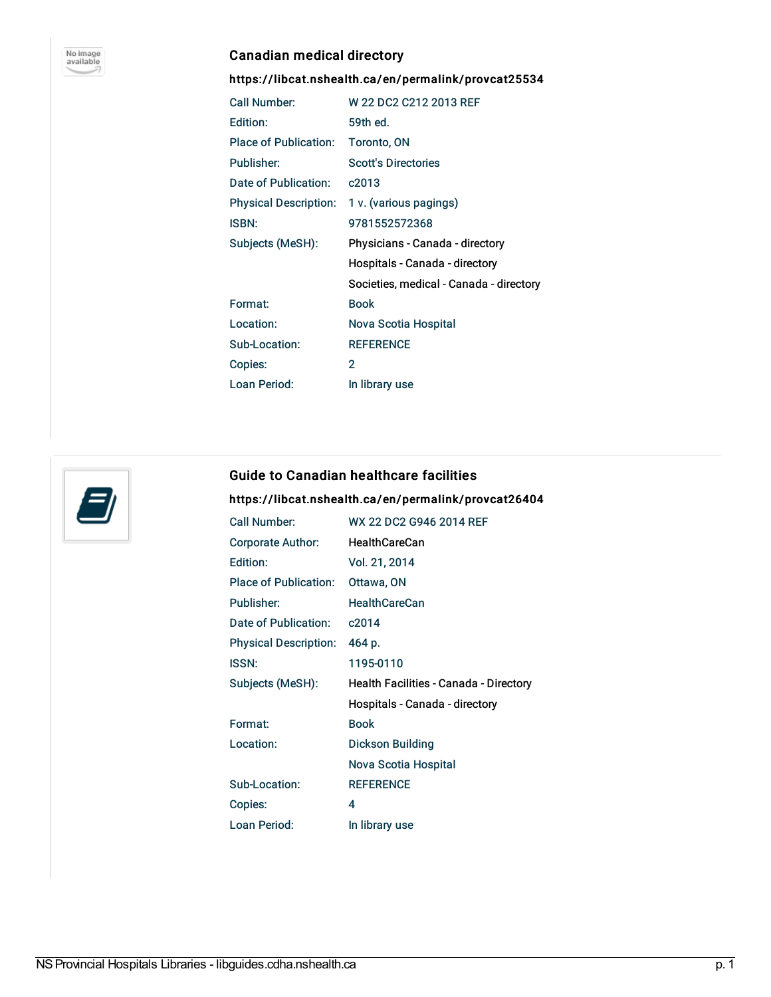

# Canadian medical directory

### <https://libcat.nshealth.ca/en/permalink/provcat25534>

| Call Number:          | W 22 DC2 C212 2013 REF                  |
|-----------------------|-----------------------------------------|
| Edition:              | 59th ed.                                |
| Place of Publication: | Toronto, ON                             |
| Publisher:            | <b>Scott's Directories</b>              |
| Date of Publication:  | c2013                                   |
| Physical Description: | 1 v. (various pagings)                  |
| <b>ISBN:</b>          | 9781552572368                           |
| Subjects (MeSH):      | Physicians - Canada - directory         |
|                       | Hospitals - Canada - directory          |
|                       | Societies, medical - Canada - directory |
| Format:               | <b>Book</b>                             |
| Location:             | Nova Scotia Hospital                    |
| Sub-Location:         | <b>REFERENCE</b>                        |
| Copies:               | 2                                       |
| Loan Period:          | In library use                          |



#### Guide to Canadian healthcare facilities

## <https://libcat.nshealth.ca/en/permalink/provcat26404>

| Call Number:                 | WX 22 DC2 G946 2014 REF                |
|------------------------------|----------------------------------------|
| Corporate Author:            | <b>HealthCareCan</b>                   |
| Edition:                     | Vol. 21, 2014                          |
| Place of Publication:        | Ottawa, ON                             |
| Publisher:                   | <b>HealthCareCan</b>                   |
| Date of Publication:         | c2014                                  |
| <b>Physical Description:</b> | 464 p.                                 |
| <b>ISSN:</b>                 | 1195-0110                              |
|                              |                                        |
| Subjects (MeSH):             | Health Facilities - Canada - Directory |
|                              | Hospitals - Canada - directory         |
| Format:                      | <b>Book</b>                            |
| Location:                    | Dickson Building                       |
|                              | Nova Scotia Hospital                   |
| Sub-Location:                | <b>REFERENCE</b>                       |
| Copies:                      | 4                                      |